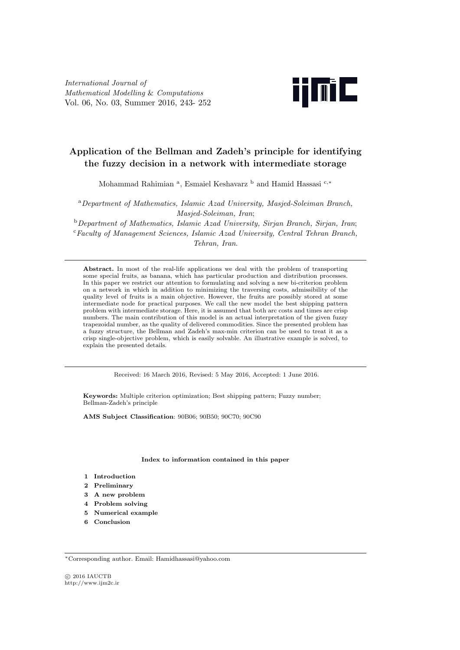

# **Application of the Bellman and Zadeh's principle for identifying the fuzzy decision in a network with intermediate storage**

Mohammad Rahimian <sup>a</sup>, Esmaiel Keshavarz <sup>b</sup> and Hamid Hassasi <sup>c,\*</sup>

<sup>a</sup>*Department of Mathematics, Islamic Azad University, Masjed-Soleiman Branch, Masjed-Soleiman, Iran*;

<sup>b</sup>*Department of Mathematics, Islamic Azad University, Sirjan Branch, Sirjan, Iran*; <sup>c</sup>*Faculty of Management Sciences, Islamic Azad University, Central Tehran Branch, Tehran, Iran*.

**Abstract.** In most of the real-life applications we deal with the problem of transporting some special fruits, as banana, which has particular production and distribution processes. In this paper we restrict our attention to formulating and solving a new bi-criterion problem on a network in which in addition to minimizing the traversing costs, admissibility of the quality level of fruits is a main objective. However, the fruits are possibly stored at some intermediate node for practical purposes. We call the new model the best shipping pattern problem with intermediate storage. Here, it is assumed that both arc costs and times are crisp numbers. The main contribution of this model is an actual interpretation of the given fuzzy trapezoidal number, as the quality of delivered commodities. Since the presented problem has a fuzzy structure, the Bellman and Zadeh's max-min criterion can be used to treat it as a crisp single-objective problem, which is easily solvable. An illustrative example is solved, to explain the presented details.

Received: 16 March 2016, Revised: 5 May 2016, Accepted: 1 June 2016.

**Keywords:** Multiple criterion optimization; Best shipping pattern; Fuzzy number; Bellman-Zadeh's principle

**AMS Subject Classification**: 90B06; 90B50; 90C70; 90C90

#### **Index to information contained in this paper**

- **1 Introduction**
- **2 Preliminary**
- **3 A new problem**
- **4 Problem solving**
- **5 Numerical example**
- **6 Conclusion**

*⃝*c 2016 IAUCTB http://www.ijm2c.ir

*<sup>∗</sup>*Corresponding author. Email: Hamidhassasi@yahoo.com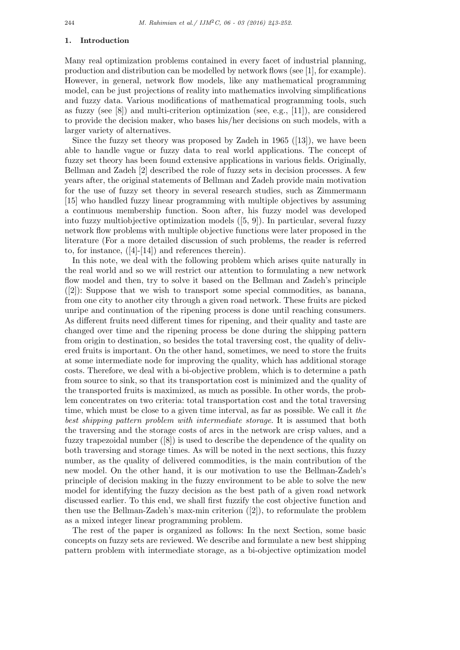#### **1. Introduction**

Many real optimization problems contained in every facet of industrial planning, production and distribution can be modelled by network flows (see [1], for example). However, in general, network flow models, like any mathematical programming model, can be just projections of reality into mathematics involving simplifications and fuzzy data. Various modifications of mathematical programming tools, such as fuzzy (see [8]) and multi-criterion optimization (see, e.g., [11]), are considered to provide the decision maker, who bases his/her decisions on such models, with a larger variety of alternatives.

Since the fuzzy set theory was proposed by Zadeh in 1965 ([13]), we have been able to handle vague or fuzzy data to real world applications. The concept of fuzzy set theory has been found extensive applications in various fields. Originally, Bellman and Zadeh [2] described the role of fuzzy sets in decision processes. A few years after, the original statements of Bellman and Zadeh provide main motivation for the use of fuzzy set theory in several research studies, such as Zimmermann [15] who handled fuzzy linear programming with multiple objectives by assuming a continuous membership function. Soon after, his fuzzy model was developed into fuzzy multiobjective optimization models ([5, 9]). In particular, several fuzzy network flow problems with multiple objective functions were later proposed in the literature (For a more detailed discussion of such problems, the reader is referred to, for instance, ([4]-[14]) and references therein).

In this note, we deal with the following problem which arises quite naturally in the real world and so we will restrict our attention to formulating a new network flow model and then, try to solve it based on the Bellman and Zadeh's principle ([2]): Suppose that we wish to transport some special commodities, as banana, from one city to another city through a given road network. These fruits are picked unripe and continuation of the ripening process is done until reaching consumers. As different fruits need different times for ripening, and their quality and taste are changed over time and the ripening process be done during the shipping pattern from origin to destination, so besides the total traversing cost, the quality of delivered fruits is important. On the other hand, sometimes, we need to store the fruits at some intermediate node for improving the quality, which has additional storage costs. Therefore, we deal with a bi-objective problem, which is to determine a path from source to sink, so that its transportation cost is minimized and the quality of the transported fruits is maximized, as much as possible. In other words, the problem concentrates on two criteria: total transportation cost and the total traversing time, which must be close to a given time interval, as far as possible. We call it *the best shipping pattern problem with intermediate storage*. It is assumed that both the traversing and the storage costs of arcs in the network are crisp values, and a fuzzy trapezoidal number ([8]) is used to describe the dependence of the quality on both traversing and storage times. As will be noted in the next sections, this fuzzy number, as the quality of delivered commodities, is the main contribution of the new model. On the other hand, it is our motivation to use the Bellman-Zadeh's principle of decision making in the fuzzy environment to be able to solve the new model for identifying the fuzzy decision as the best path of a given road network discussed earlier. To this end, we shall first fuzzify the cost objective function and then use the Bellman-Zadeh's max-min criterion ([2]), to reformulate the problem as a mixed integer linear programming problem.

The rest of the paper is organized as follows: In the next Section, some basic concepts on fuzzy sets are reviewed. We describe and formulate a new best shipping pattern problem with intermediate storage, as a bi-objective optimization model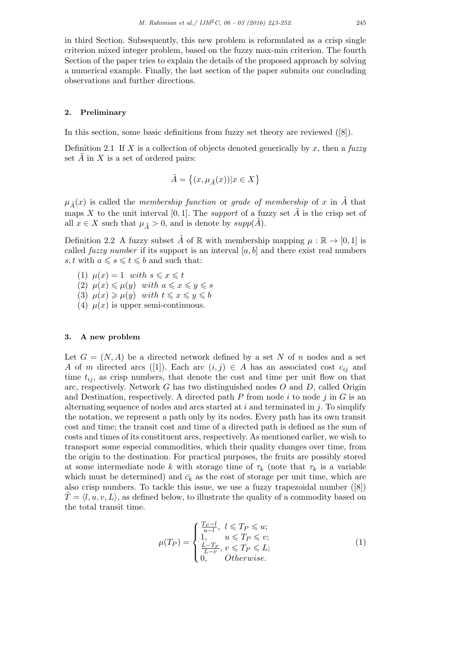in third Section. Subsequently, this new problem is reformulated as a crisp single criterion mixed integer problem, based on the fuzzy max-min criterion. The fourth Section of the paper tries to explain the details of the proposed approach by solving a numerical example. Finally, the last section of the paper submits our concluding observations and further directions.

### **2. Preliminary**

In this section, some basic definitions from fuzzy set theory are reviewed ([8]).

Definition 2.1 If *X* is a collection of objects denoted generically by *x*, then a *fuzzy* set  $\overline{A}$  in  $\overline{X}$  is a set of ordered pairs:

$$
\tilde{A}=\left\{(x,\mu_{\tilde{A}}(x))|x\in X\right\}
$$

 $\mu_{\tilde{A}}(x)$  is called the *membership function* or *grade of membership* of *x* in  $\tilde{A}$  that maps *X* to the unit interval [0, 1]. The *support* of a fuzzy set  $\tilde{A}$  is the crisp set of all  $x \in X$  such that  $\mu_{\tilde{A}} > 0$ , and is denote by  $supp(A)$ .

Definition 2.2 A fuzzy subset  $\hat{A}$  of  $\mathbb R$  with membership mapping  $\mu : \mathbb R \to [0,1]$  is called *fuzzy number* if its support is an interval  $[a, b]$  and there exist real numbers *s, t* with  $a \le s \le t \le b$  and such that:

 $(1)$   $\mu(x) = 1$  *with*  $s \leqslant x \leqslant t$  $(2)$   $\mu(x) \leq \mu(y)$  *with*  $a \leq x \leq y \leq s$ (3)  $\mu(x) \geq \mu(y)$  *with*  $t \leq x \leq y \leq b$ (4)  $\mu(x)$  is upper semi-continuous.

#### **3. A new problem**

Let  $G = (N, A)$  be a directed network defined by a set N of n nodes and a set *A* of *m* directed arcs ([1]). Each arc  $(i, j) \in A$  has an associated cost  $c_{ij}$  and time  $t_{ij}$ , as crisp numbers, that denote the cost and time per unit flow on that arc, respectively. Network *G* has two distinguished nodes *O* and *D*, called Origin and Destination, respectively. A directed path *P* from node *i* to node *j* in *G* is an alternating sequence of nodes and arcs started at *i* and terminated in *j*. To simplify the notation, we represent a path only by its nodes. Every path has its own transit cost and time; the transit cost and time of a directed path is defined as the sum of costs and times of its constituent arcs, respectively. As mentioned earlier, we wish to transport some especial commodities, which their quality changes over time, from the origin to the destination. For practical purposes, the fruits are possibly stored at some intermediate node *k* with storage time of  $\tau_k$  (note that  $\tau_k$  is a variable which must be determined) and  $\bar{c}_k$  as the cost of storage per unit time, which are also crisp numbers. To tackle this issue, we use a fuzzy trapezoidal number ([8])  $T = \langle l, u, v, L \rangle$ , as defined below, to illustrate the quality of a commodity based on the total transit time.

$$
\mu(T_P) = \begin{cases}\n\frac{T_P - l}{u - l}, & l \leq T_P \leq u; \\
1, & u \leq T_P \leq v; \\
\frac{L - T_P}{L - v}, & v \leq T_P \leq L; \\
0, & Otherwise.\n\end{cases}
$$
\n(1)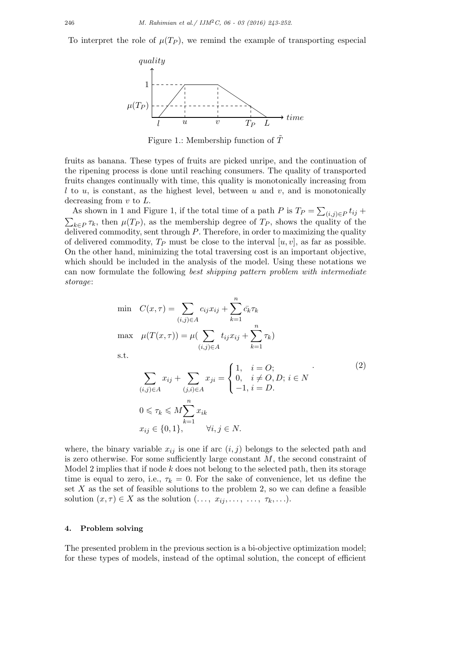To interpret the role of  $\mu(T_P)$ , we remind the example of transporting especial



Figure 1.: Membership function of  $\overline{T}$ 

fruits as banana. These types of fruits are picked unripe, and the continuation of the ripening process is done until reaching consumers. The quality of transported fruits changes continually with time, this quality is monotonically increasing from *l* to *u*, is constant, as the highest level, between *u* and *v*, and is monotonically decreasing from *v* to *L*.

As shown in 1 and Figure 1, if the total time of a path *P* is  $T_P = \sum_{(i,j) \in P} t_{ij} +$  $\sum_{k \in P} \tau_k$ , then  $\mu(T_P)$ , as the membership degree of  $T_P$ , shows the quality of the delivered commodity, sent through *P*. Therefore, in order to maximizing the quality of delivered commodity,  $T_P$  must be close to the interval  $[u, v]$ , as far as possible. On the other hand, minimizing the total traversing cost is an important objective, which should be included in the analysis of the model. Using these notations we can now formulate the following *best shipping pattern problem with intermediate storage*:

$$
\min \quad C(x,\tau) = \sum_{(i,j)\in A} c_{ij} x_{ij} + \sum_{k=1}^{n} \bar{c_k} \tau_k
$$
\n
$$
\max \quad \mu(T(x,\tau)) = \mu \left( \sum_{(i,j)\in A} t_{ij} x_{ij} + \sum_{k=1}^{n} \tau_k \right)
$$
\n
$$
\text{s.t.}
$$
\n
$$
\sum_{(i,j)\in A} x_{ij} + \sum_{(j,i)\in A} x_{ji} = \begin{cases} 1, & i = O; \\ 0, & i \neq O, D; i \in N \\ -1, & i = D. \end{cases} \tag{2}
$$
\n
$$
0 \leq \tau_k \leq M \sum_{i}^{n} x_{ik}
$$

$$
x_{ij} \in \{0, 1\}, \qquad \forall i, j \in N.
$$

where, the binary variable  $x_{ij}$  is one if arc  $(i, j)$  belongs to the selected path and is zero otherwise. For some sufficiently large constant *M*, the second constraint of Model 2 implies that if node *k* does not belong to the selected path, then its storage time is equal to zero, i.e.,  $\tau_k = 0$ . For the sake of convenience, let us define the set *X* as the set of feasible solutions to the problem 2, so we can define a feasible solution  $(x, \tau) \in X$  as the solution  $(\ldots, x_{ij}, \ldots, \tau_k, \ldots)$ .

## **4. Problem solving**

The presented problem in the previous section is a bi-objective optimization model; for these types of models, instead of the optimal solution, the concept of efficient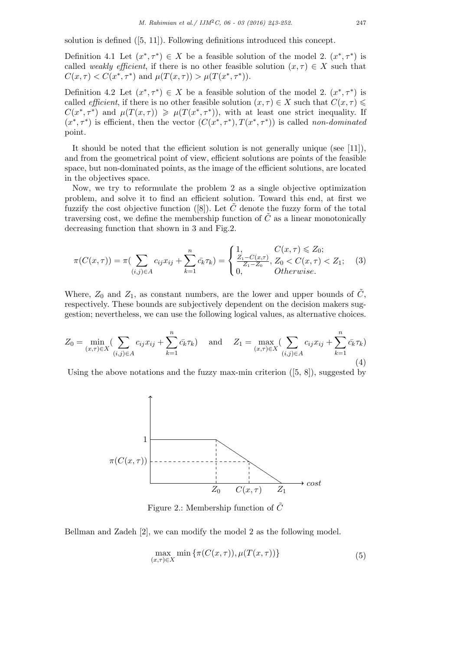solution is defined ([5, 11]). Following definitions introduced this concept.

Definition 4.1 Let  $(x^*, \tau^*) \in X$  be a feasible solution of the model 2.  $(x^*, \tau^*)$  is called *weakly efficient*, if there is no other feasible solution  $(x, \tau) \in X$  such that  $C(x, \tau) < C(x^*, \tau^*)$  and  $\mu(T(x, \tau)) > \mu(T(x^*, \tau^*)$ .

Definition 4.2 Let  $(x^*, \tau^*) \in X$  be a feasible solution of the model 2.  $(x^*, \tau^*)$  is called *efficient*, if there is no other feasible solution  $(x, \tau) \in X$  such that  $C(x, \tau) \leq$  $C(x^*, \tau^*)$  and  $\mu(T(x, \tau)) \geq \mu(T(x^*, \tau^*))$ , with at least one strict inequality. If  $(x^*, \tau^*)$  is efficient, then the vector  $(C(x^*, \tau^*), T(x^*, \tau^*))$  is called *non-dominated* point.

It should be noted that the efficient solution is not generally unique (see [11]), and from the geometrical point of view, efficient solutions are points of the feasible space, but non-dominated points, as the image of the efficient solutions, are located in the objectives space.

Now, we try to reformulate the problem 2 as a single objective optimization problem, and solve it to find an efficient solution. Toward this end, at first we fuzzify the cost objective function ([8]). Let  $\tilde{C}$  denote the fuzzy form of the total traversing cost, we define the membership function of  $\tilde{C}$  as a linear monotonically decreasing function that shown in 3 and Fig.2.

$$
\pi(C(x,\tau)) = \pi(\sum_{(i,j)\in A} c_{ij}x_{ij} + \sum_{k=1}^n \bar{c}_k\tau_k) = \begin{cases} 1, & C(x,\tau) \leq Z_0; \\ \frac{Z_1 - C(x,\tau)}{Z_1 - Z_0}, & Z_0 < C(x,\tau) < Z_1; \\ 0, & \text{Otherwise.} \end{cases} \tag{3}
$$

Where,  $Z_0$  and  $Z_1$ , as constant numbers, are the lower and upper bounds of  $\tilde{C}$ , respectively. These bounds are subjectively dependent on the decision makers suggestion; nevertheless, we can use the following logical values, as alternative choices.

$$
Z_0 = \min_{(x,\tau)\in X} \left( \sum_{(i,j)\in A} c_{ij} x_{ij} + \sum_{k=1}^n \bar{c}_k \tau_k \right) \quad \text{and} \quad Z_1 = \max_{(x,\tau)\in X} \left( \sum_{(i,j)\in A} c_{ij} x_{ij} + \sum_{k=1}^n \bar{c}_k \tau_k \right)
$$
\n(4)

Using the above notations and the fuzzy max-min criterion  $([5, 8])$ , suggested by



Figure 2.: Membership function of  $\tilde{C}$ 

Bellman and Zadeh [2], we can modify the model 2 as the following model.

$$
\max_{(x,\tau)\in X} \min\left\{\pi(C(x,\tau)), \mu(T(x,\tau))\right\} \tag{5}
$$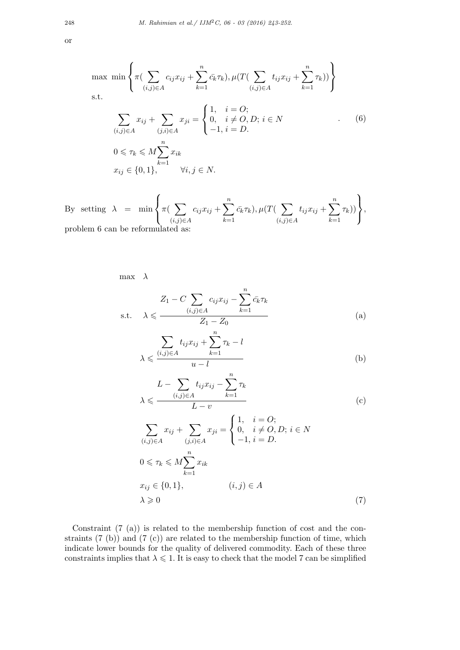$$
\max \min \left\{ \pi \left( \sum_{(i,j) \in A} c_{ij} x_{ij} + \sum_{k=1}^{n} \bar{c}_k \tau_k \right), \mu \left( T \left( \sum_{(i,j) \in A} t_{ij} x_{ij} + \sum_{k=1}^{n} \tau_k \right) \right) \right\}
$$
\n
$$
\text{s.t.}
$$
\n
$$
\sum_{(i,j) \in A} x_{ij} + \sum_{(j,i) \in A} x_{ji} = \begin{cases} 1, & i = O; \\ 0, & i \neq O, D; i \in N \\ -1, i = D. \end{cases} \quad (6)
$$
\n
$$
0 \leq \tau_k \leq M \sum_{k=1}^{n} x_{ik}
$$
\n
$$
x_{ij} \in \{0, 1\}, \qquad \forall i, j \in N.
$$

By setting  $\lambda$  = min  $\sqrt{ }$  $\frac{1}{2}$  $\mathbf{I}$ *π*( ∑ (*i,j*)*∈A*  $c_{ij}x_{ij} + \sum_{i=1}^{n}$ *k*=1  $\bar{c_k} \tau_k$ )*,*  $\mu(T(\sum)$ (*i,j*)*∈A*  $t_{ij}x_{ij} + \sum_{i=1}^{n}$ *k*=1 *τk*))  $\mathbf{A}$  $\mathbf{I}$  $\mathbf{J}$ , problem 6 can be reformulated as:

max *λ*

$$
Z_1 - C \sum_{(i,j)\in A} c_{ij} x_{ij} - \sum_{k=1}^n \bar{c}_k \tau_k
$$
  
s.t.  $\lambda \leq \frac{(i,j)\in A}{Z_1 - Z_0}$  (a)

$$
\lambda \leqslant \frac{\sum_{(i,j)\in A} t_{ij}x_{ij} + \sum_{k=1}^{n} \tau_k - l}{u - l}
$$
 (b)

$$
L - \sum_{(i,j)\in A} t_{ij} x_{ij} - \sum_{k=1} \tau_k
$$
  

$$
\lambda \leq \frac{L - v}{L - v}
$$
 (c)

$$
\sum_{(i,j)\in A} x_{ij} + \sum_{(j,i)\in A} x_{ji} = \begin{cases} 1, & i = O; \\ 0, & i \neq O, D; i \in N \\ -1, i = D. \end{cases}
$$
  

$$
0 \le \tau_k \le M \sum_{k=1}^n x_{ik}
$$
  

$$
x_{ij} \in \{0, 1\}, \qquad (i, j) \in A
$$
  

$$
\lambda \ge 0
$$
 (7)

Constraint (7 (a)) is related to the membership function of cost and the constraints (7 (b)) and (7 (c)) are related to the membership function of time, which indicate lower bounds for the quality of delivered commodity. Each of these three constraints implies that  $\lambda \leq 1$ . It is easy to check that the model 7 can be simplified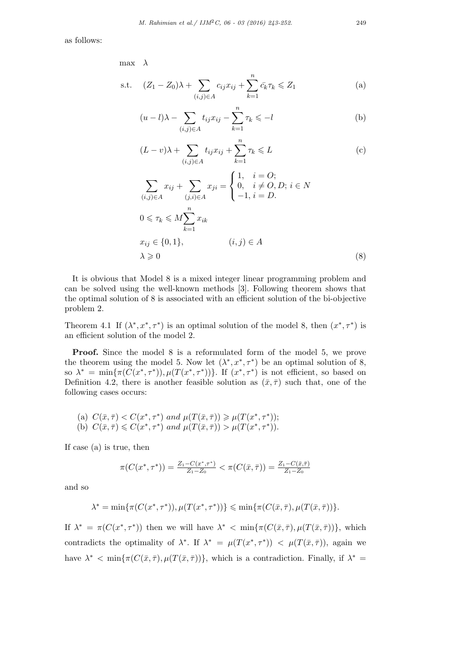as follows:

max *λ*

s.t. 
$$
(Z_1 - Z_0)\lambda + \sum_{(i,j)\in A} c_{ij}x_{ij} + \sum_{k=1}^n \bar{c}_k \tau_k \leq Z_1
$$
 (a)

$$
(u-l)\lambda - \sum_{(i,j)\in A} t_{ij}x_{ij} - \sum_{k=1}^n \tau_k \le -l
$$
 (b)

$$
(L-v)\lambda + \sum_{(i,j)\in A} t_{ij}x_{ij} + \sum_{k=1}^n \tau_k \leq L
$$
 (c)

$$
\sum_{(i,j)\in A} x_{ij} + \sum_{(j,i)\in A} x_{ji} = \begin{cases} 1, & i = O; \\ 0, & i \neq O, D; i \in N \\ -1, i = D. \end{cases}
$$
  

$$
0 \leq \tau_k \leq M \sum_{k=1}^n x_{ik}
$$
  

$$
x_{ij} \in \{0, 1\}, \qquad (i, j) \in A
$$
  

$$
\lambda \geq 0
$$
 (8)

It is obvious that Model 8 is a mixed integer linear programming problem and can be solved using the well-known methods [3]. Following theorem shows that the optimal solution of 8 is associated with an efficient solution of the bi-objective problem 2.

Theorem 4.1 If  $(\lambda^*, x^*, \tau^*)$  is an optimal solution of the model 8, then  $(x^*, \tau^*)$  is an efficient solution of the model 2.

**Proof.** Since the model 8 is a reformulated form of the model 5, we prove the theorem using the model 5. Now let  $(\lambda^*, x^*, \tau^*)$  be an optimal solution of 8, so  $\lambda^* = \min{\pi(C(x^*, \tau^*))}, \mu(T(x^*, \tau^*))\}$ . If  $(x^*, \tau^*)$  is not efficient, so based on Definition 4.2, there is another feasible solution as  $(\bar{x}, \bar{\tau})$  such that, one of the following cases occurs:

(a) 
$$
C(\bar{x}, \bar{\tau}) < C(x^*, \tau^*)
$$
 and  $\mu(T(\bar{x}, \bar{\tau})) \geq \mu(T(x^*, \tau^*))$ ;  
(b)  $C(\bar{x}, \bar{\tau}) \leq C(x^*, \tau^*)$  and  $\mu(T(\bar{x}, \bar{\tau})) > \mu(T(x^*, \tau^*)$ ).

If case (a) is true, then

$$
\pi(C(x^*, \tau^*)) = \frac{Z_1 - C(x^*, \tau^*)}{Z_1 - Z_0} < \pi(C(\bar{x}, \bar{\tau})) = \frac{Z_1 - C(\bar{x}, \bar{\tau})}{Z_1 - Z_0}
$$

and so

$$
\lambda^* = \min \{ \pi(C(x^*, \tau^*)), \mu(T(x^*, \tau^*)) \} \leq \min \{ \pi(C(\bar{x}, \bar{\tau}), \mu(T(\bar{x}, \bar{\tau})) \}.
$$

If  $\lambda^* = \pi(C(x^*, \tau^*))$  then we will have  $\lambda^* < \min{\pi(C(\bar{x}, \bar{\tau}), \mu(T(\bar{x}, \bar{\tau})))}$ , which contradicts the optimality of  $\lambda^*$ . If  $\lambda^* = \mu(T(x^*, \tau^*)) < \mu(T(\bar{x}, \bar{\tau}))$ , again we have  $\lambda^*$  < min $\{\pi(C(\bar{x},\bar{\tau}),\mu(T(\bar{x},\bar{\tau}))\},\$  which is a contradiction. Finally, if  $\lambda^*$  =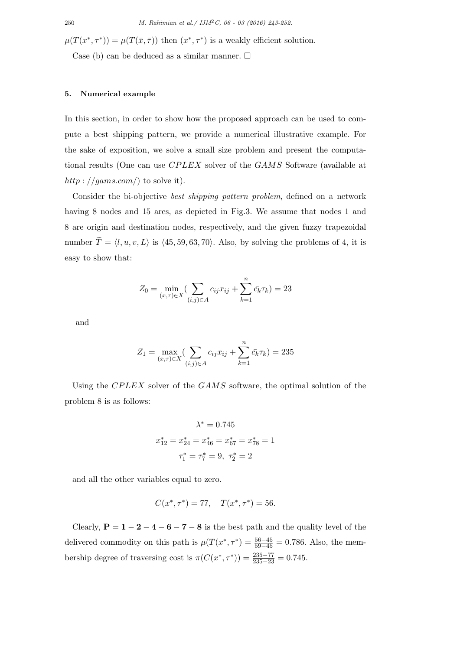$\mu(T(x^*, \tau^*)) = \mu(T(\bar{x}, \bar{\tau}))$  then  $(x^*, \tau^*)$  is a weakly efficient solution. Case (b) can be deduced as a similar manner.  $\square$ 

## **5. Numerical example**

In this section, in order to show how the proposed approach can be used to compute a best shipping pattern, we provide a numerical illustrative example. For the sake of exposition, we solve a small size problem and present the computational results (One can use *CP LEX* solver of the *GAMS* Software (available at *http* : *//gams.com/*) to solve it).

Consider the bi-objective *best shipping pattern problem*, defined on a network having 8 nodes and 15 arcs, as depicted in Fig.3. We assume that nodes 1 and 8 are origin and destination nodes, respectively, and the given fuzzy trapezoidal number  $\widetilde{T} = \langle l, u, v, L \rangle$  is  $\langle 45, 59, 63, 70 \rangle$ . Also, by solving the problems of 4, it is easy to show that:

$$
Z_0 = \min_{(x,\tau)\in X} \left( \sum_{(i,j)\in A} c_{ij} x_{ij} + \sum_{k=1}^n \bar{c}_k \tau_k \right) = 23
$$

and

$$
Z_1 = \max_{(x,\tau)\in X} \left(\sum_{(i,j)\in A} c_{ij} x_{ij} + \sum_{k=1}^n \bar{c}_k \tau_k\right) = 235
$$

Using the *CPLEX* solver of the *GAMS* software, the optimal solution of the problem 8 is as follows:

$$
\lambda^* = 0.745
$$
  

$$
x_{12}^* = x_{24}^* = x_{46}^* = x_{67}^* = x_{78}^* = 1
$$
  

$$
\tau_1^* = \tau_7^* = 9, \ \tau_2^* = 2
$$

and all the other variables equal to zero.

$$
C(x^*, \tau^*) = 77, \quad T(x^*, \tau^*) = 56.
$$

Clearly,  $P = 1 - 2 - 4 - 6 - 7 - 8$  is the best path and the quality level of the delivered commodity on this path is  $\mu(T(x^*, \tau^*) = \frac{56-45}{59-45} = 0.786$ . Also, the membership degree of traversing cost is  $\pi(C(x^*, \tau^*)) = \frac{235-77}{235-23} = 0.745$ .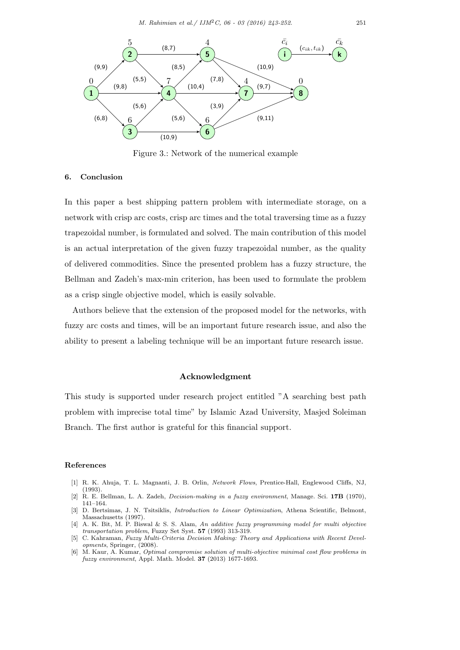

Figure 3.: Network of the numerical example

## **6. Conclusion**

In this paper a best shipping pattern problem with intermediate storage, on a network with crisp arc costs, crisp arc times and the total traversing time as a fuzzy trapezoidal number, is formulated and solved. The main contribution of this model is an actual interpretation of the given fuzzy trapezoidal number, as the quality of delivered commodities. Since the presented problem has a fuzzy structure, the Bellman and Zadeh's max-min criterion, has been used to formulate the problem as a crisp single objective model, which is easily solvable.

Authors believe that the extension of the proposed model for the networks, with fuzzy arc costs and times, will be an important future research issue, and also the ability to present a labeling technique will be an important future research issue.

# **Acknowledgment**

This study is supported under research project entitled "A searching best path problem with imprecise total time" by Islamic Azad University, Masjed Soleiman Branch. The first author is grateful for this financial support.

#### **References**

- [1] R. K. Ahuja, T. L. Magnanti, J. B. Orlin, *Network Flows*, Prentice-Hall, Englewood Cliffs, NJ, (1993).
- [2] R. E. Bellman, L. A. Zadeh, *Decision-making in a fuzzy environment*, Manage. Sci. **17B** (1970), 141–164.
- [3] D. Bertsimas, J. N. Tsitsiklis, *Introduction to Linear Optimization*, Athena Scientific, Belmont, Massachusetts (1997).
- [4] A. K. Bit, M. P. Biswal & S. S. Alam, *An additive fuzzy programming model for multi objective transportation problem*, Fuzzy Set Syst. **57** (1993) 313-319.
- [5] C. Kahraman, *Fuzzy Multi-Criteria Decision Making: Theory and Applications with Recent Developments*, Springer, (2008).
- [6] M. Kaur, A. Kumar, *Optimal compromise solution of multi-objective minimal cost flow problems in fuzzy environment*, Appl. Math. Model. **37** (2013) 1677-1693.